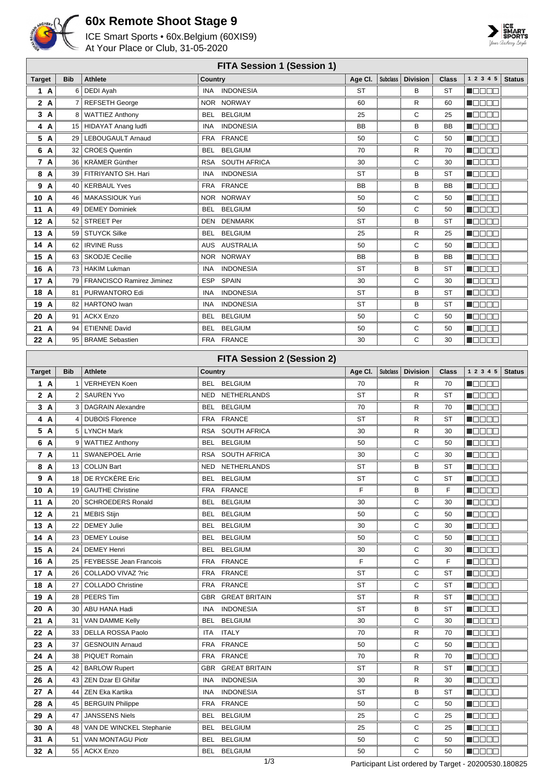

## **60x Remote Shoot Stage 9**

ICE Smart Sports • 60x.Belgium (60XIS9) At Your Place or Club, 31-05-2020



## **FITA Session 1 (Session 1)**

| <b>FITA Session 1 (Session 1)</b> |                 |                                  |                                                         |          |                 |                 |              |                                              |               |
|-----------------------------------|-----------------|----------------------------------|---------------------------------------------------------|----------|-----------------|-----------------|--------------|----------------------------------------------|---------------|
| <b>Target</b>                     | <b>Bib</b>      | <b>Athlete</b>                   | Country                                                 | Age Cl.  | <b>Subclass</b> | <b>Division</b> | Class        | 1 2 3 4 5                                    | <b>Status</b> |
| 1 A                               | 6               | <b>DEDI Ayah</b>                 | <b>INDONESIA</b><br><b>INA</b>                          | ST       |                 | в               | ST           | N OO OO                                      |               |
| 2 A                               | 7               | <b>REFSETH George</b>            | <b>NORWAY</b><br>NOR.                                   | 60       |                 | R               | 60           | N DE BE                                      |               |
| 3 A                               | 8               | <b>WATTIEZ Anthony</b>           | <b>BELGIUM</b><br><b>BEL</b>                            | 25       |                 | С               | 25           | n dia GMT                                    |               |
| 4 A                               | 15              | <b>HIDAYAT Anang ludfi</b>       | <b>INA</b><br><b>INDONESIA</b>                          | BB       |                 | в               | BB           | N DE BE                                      |               |
| 5 A                               | 29              | LEBOUGAULT Arnaud                | <b>FRANCE</b><br><b>FRA</b>                             | 50       |                 | С               | 50           | N OO OO                                      |               |
| 6 A                               | 32              | <b>CROES Quentin</b>             | <b>BELGIUM</b><br><b>BEL</b>                            | 70       |                 | R               | 70           | N E E E E                                    |               |
| 7 A                               | 36              | KRÄMER Günther                   | <b>RSA</b><br><b>SOUTH AFRICA</b>                       | 30       |                 | С               | 30           | N E E E E                                    |               |
| 8 A                               | 39              | FITRIYANTO SH. Hari              | <b>INDONESIA</b><br>INA                                 | ST       |                 | в               | ST           | <u> Nacional de la p</u>                     |               |
| 9 A                               | 40              | <b>KERBAUL Yves</b>              | <b>FRANCE</b><br><b>FRA</b>                             | BB       |                 | в               | BB           | Maaaa                                        |               |
| 10<br>A                           | 46              | MAKASSIOUK Yuri                  | <b>NORWAY</b><br>NOR.                                   | 50       |                 | С               | 50           |                                              |               |
| 11 A                              | 49              | <b>DEMEY Dominiek</b>            | <b>BELGIUM</b><br><b>BEL</b>                            | 50       |                 | С               | 50           | n je po pr                                   |               |
| 12 A                              | 52              | <b>STREET Per</b>                | DEN<br><b>DENMARK</b>                                   | ST       |                 | в               | ST           | N DE BE                                      |               |
| 13 A                              | 59              | <b>STUYCK Silke</b>              | <b>BELGIUM</b><br><b>BEL</b>                            | 25       |                 | R               | 25           | M D O O O                                    |               |
| 14 A                              | 62              | <b>IRVINE Russ</b>               | <b>AUSTRALIA</b><br>AUS                                 | 50       |                 | C               | 50           | a je po se p                                 |               |
| 15 A                              | 63              | <b>SKODJE Cecilie</b>            | <b>NORWAY</b><br><b>NOR</b>                             | BB       |                 | B               | BB           | N E E E E                                    |               |
| 16 A                              | 73              | HAKIM Lukman                     | <b>INDONESIA</b><br>INA                                 | ST       |                 | B               | ST           | Maaaa                                        |               |
| 17 A                              | 79              | <b>FRANCISCO Ramirez Jiminez</b> | <b>SPAIN</b><br>ESP                                     | 30       |                 | С               | 30           | Maaaa                                        |               |
| 18<br>A                           | 81              | PURWANTORO Edi                   | <b>INDONESIA</b><br>INA                                 | ST       |                 | в               | ST           | Maaaa                                        |               |
| 19 A                              | 82              | <b>HARTONO</b> Iwan              | <b>INDONESIA</b><br><b>INA</b>                          | ST       |                 | B               | ST           | n jarja as                                   |               |
| 20 A                              | 91              | <b>ACKX Enzo</b>                 | <b>BELGIUM</b><br><b>BEL</b>                            | 50       |                 | С               | 50           | Maaaa                                        |               |
| 21 A                              | 94              | <b>ETIENNE David</b>             | <b>BELGIUM</b><br><b>BEL</b>                            | 50       |                 | С               | 50           | MOO OO                                       |               |
| 22 A                              | 95              | <b>BRAME Sebastien</b>           | <b>FRA</b><br><b>FRANCE</b>                             | 30       |                 | C               | 30           | <u>mana a</u>                                |               |
|                                   |                 |                                  |                                                         |          |                 |                 |              |                                              |               |
|                                   |                 |                                  | <b>FITA Session 2 (Session 2)</b>                       |          |                 |                 |              |                                              |               |
| <b>Target</b>                     | <b>Bib</b>      | <b>Athlete</b>                   | Country                                                 | Age Cl.  | <b>Subclass</b> | <b>Division</b> | <b>Class</b> | 1 2 3 4 5                                    | <b>Status</b> |
| 1 A                               | $\mathbf{1}$    | <b>VERHEYEN Koen</b>             | <b>BELGIUM</b><br><b>BEL</b>                            | 70       |                 | R               | 70           | Maaaa                                        |               |
| 2 A                               | 2               | <b>SAUREN Yvo</b>                | NETHERLANDS<br><b>NED</b>                               | ST       |                 | R               | ST           | Maaaa                                        |               |
| 3 A                               | 3               | <b>DAGRAIN Alexandre</b>         | <b>BELGIUM</b><br><b>BEL</b>                            | 70       |                 | R               | 70           | M E E E E                                    |               |
| 4 A                               | 4               | <b>DUBOIS Florence</b>           | <b>FRANCE</b><br><b>FRA</b>                             | ST       |                 | R               | ST           | <b>MODDO</b>                                 |               |
| 5 A                               | 5               | <b>LYNCH Mark</b>                | <b>RSA</b><br>SOUTH AFRICA                              | 30       |                 | R               | 30           | Maaaa                                        |               |
| 6 A                               | 9               | <b>WATTIEZ Anthony</b>           | <b>BELGIUM</b><br>BEL                                   | 50       |                 | С               | 50           | Maaaa                                        |               |
| 7 A                               | 11              | <b>SWANEPOEL Arrie</b>           | <b>SOUTH AFRICA</b><br><b>RSA</b>                       | 30       |                 | С               | 30           | Maaa a                                       |               |
| 8 A                               | 13              | <b>COLIJN Bart</b>               | NETHERLANDS<br><b>NED</b>                               | ST       |                 | B               | ST           | MOO OO                                       |               |
| $\mathbf{A}$<br>9                 |                 | 18 DE RYCKÈRE Eric               | <b>BEL</b><br><b>BELGIUM</b>                            | ST       |                 | С               | ST           | MODE E                                       |               |
| $10\hbox{A}$                      |                 | 19   GAUTHE Christine            | FRA FRANCE                                              | F        |                 | в               | F            | MOO OO                                       |               |
| 11 A                              |                 | 20   SCHROEDERS Ronald           | <b>BELGIUM</b><br><b>BEL</b>                            | 30       |                 | С               | 30           | N OO OO                                      |               |
| 12A                               |                 | 21   MEBIS Stijn                 | <b>BELGIUM</b><br>BEL                                   | 50       |                 | С               | 50           | N OO O O                                     |               |
| 13 A                              |                 | 22   DEMEY Julie                 | BEL<br><b>BELGIUM</b>                                   | 30       |                 | С               | 30           | M B B B B                                    |               |
| 14 A                              | 23              | <b>DEMEY Louise</b>              | <b>BELGIUM</b><br>BEL                                   | 50       |                 | С               | 50           | NOOOO                                        |               |
| 15 A                              | 24              | <b>DEMEY Henri</b>               | <b>BELGIUM</b><br>BEL                                   | 30       |                 | С               | 30           | M O O O O                                    |               |
| 16 A                              |                 | 25   FEYBESSE Jean Francois      | <b>FRANCE</b><br><b>FRA</b>                             | F        |                 | С               | F            | M O O O O                                    |               |
| 17 A                              | 26              | COLLADO VIVAZ ?ric               | <b>FRANCE</b><br><b>FRA</b>                             | ST       |                 | С               | ST           | <b>Macar</b>                                 |               |
| 18 A                              | 27              | <b>COLLADO Christine</b>         | <b>FRANCE</b><br><b>FRA</b><br><b>GBR GREAT BRITAIN</b> | ST       |                 | С               | ST           | <b>NGGGG</b>                                 |               |
| 19 A                              |                 | 28   PEERS Tim                   | INA<br><b>INDONESIA</b>                                 | ST<br>ST |                 | R               | ST<br>ST     | <b>M</b> OOOO                                |               |
| 20 A                              | 30              | ABU HANA Hadi                    |                                                         |          |                 | В               |              | N 888 E                                      |               |
| 21 A                              | 31              | VAN DAMME Kelly                  | BEL BELGIUM                                             | 30       |                 | С               | 30           | N 888 E                                      |               |
| 22 A                              | 33 <sup>1</sup> | DELLA ROSSA Paolo                | <b>ITALY</b><br>ITA                                     | 70       |                 | R               | 70           | <b>N</b> OOOO                                |               |
| 23 A                              | 37              | <b>GESNOUIN Arnaud</b>           | FRA FRANCE                                              | 50       |                 | С               | 50           | N DE BE                                      |               |
| 24 A                              | 38              | PIQUET Romain                    | FRA FRANCE                                              | 70       |                 | R               | 70           | <b>M</b> OOOO                                |               |
| 25 A                              | 42              | <b>BARLOW Rupert</b>             | GBR GREAT BRITAIN                                       | ST       |                 | R               | ST           | $\blacksquare$ $\square$ $\square$ $\square$ |               |
| 26 A                              |                 | 43 ZEN Dzar El Ghifar            | <b>INDONESIA</b><br>INA                                 | 30       |                 | R               | 30           | HOOOO                                        |               |
| 27 A<br>28 A                      |                 | 44   ZEN Eka Kartika             | <b>INDONESIA</b><br>INA<br>FRA FRANCE                   | ST       |                 | в<br>С          | ST           | HOOOO                                        |               |
|                                   |                 | 45   BERGUIN Philippe            |                                                         | 50       |                 |                 | 50           | N BE E E                                     |               |

**29 A** 47 JANSSENS Niels BEL BELGIUM 25 C 25 **A** 48 VAN DE WINCKEL Stephanie BEL BELGIUM 25 25 C 25 **31 A** 51 VAN MONTAGU Piotr BEL BELGIUM 50 50 C 50 **32 A** 55 ACKX Enzo BEL BELGIUM 50 50 C 50 **MODOO MODDE NOBER**  $\blacksquare$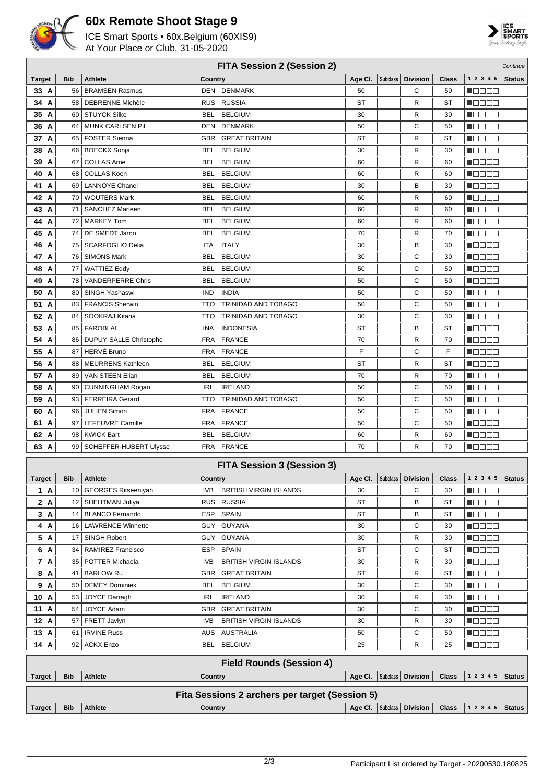

## **60x Remote Shoot Stage 9**

ICE Smart Sports • 60x.Belgium (60XIS9) At Your Place or Club, 31-05-2020



| <b>FITA Session 2 (Session 2)</b><br>Continue  |                 |                             |                                          |                    |                 |                 |              |                                                             |               |
|------------------------------------------------|-----------------|-----------------------------|------------------------------------------|--------------------|-----------------|-----------------|--------------|-------------------------------------------------------------|---------------|
| <b>Target</b>                                  | <b>Bib</b>      | <b>Athlete</b>              | Country                                  | Age CI.            | <b>Subclass</b> | <b>Division</b> | <b>Class</b> | 1 2 3 4 5                                                   | <b>Status</b> |
| 33 A                                           | 56              | <b>BRAMSEN Rasmus</b>       | DEN DENMARK                              | 50                 |                 | С               | 50           | <u> Hees</u>                                                |               |
| 34 A                                           | 58 <sup>°</sup> | <b>DEBRENNE Michèle</b>     | <b>RUSSIA</b><br><b>RUS</b>              | ST                 |                 | R               | ST           | <u>Lini din s</u>                                           |               |
| 35 A                                           | 60 l            | <b>STUYCK Silke</b>         | <b>BELGIUM</b><br>BEL                    | 30                 |                 | R               | 30           | N O D O O                                                   |               |
| 36 A                                           | 64              | MUNK CARLSEN Pil            | DEN<br><b>DENMARK</b>                    | 50                 |                 | С               | 50           | N DE SE                                                     |               |
| 37 A                                           | 65              | <b>FOSTER Sienna</b>        | <b>GREAT BRITAIN</b><br><b>GBR</b>       | ST                 |                 | R               | ST           | N BE E E                                                    |               |
| 38 A                                           | 66              | <b>BOECKX Sonja</b>         | BEL<br><b>BELGIUM</b>                    | 30                 |                 | R               | 30           | <u>Lind a a</u>                                             |               |
| 39<br>A                                        | 67              | <b>COLLAS Arne</b>          | BEL<br><b>BELGIUM</b>                    | 60                 |                 | R               | 60           | N BE E E                                                    |               |
| 40 A                                           | 68              | <b>COLLAS Koen</b>          | BEL<br><b>BELGIUM</b>                    | 60                 |                 | R               | 60           | <u>i i pje pje</u>                                          |               |
| 41 A                                           | 69              | <b>LANNOYE Chanel</b>       | BEL<br><b>BELGIUM</b>                    | 30                 |                 | в               | 30           | MODE 8                                                      |               |
| 42 A                                           | 70              | <b>WOUTERS Mark</b>         | <b>BELGIUM</b><br>BEL                    | 60                 |                 | R               | 60           | ______                                                      |               |
| 43 A                                           | 71              | SANCHEZ Marleen             | BEL<br><b>BELGIUM</b>                    | 60                 |                 | R               | 60           | Maaaa                                                       |               |
| 44 A                                           | 72              | <b>MARKEY Tom</b>           | BEL<br><b>BELGIUM</b>                    | 60                 |                 | R               | 60           |                                                             |               |
| 45 A                                           | 74              | DE SMEDT Jarno              | <b>BELGIUM</b><br>BEL                    | 70                 |                 | R               | 70           |                                                             |               |
| 46 A                                           | 75              | <b>SCARFOGLIO Delia</b>     | ITA<br>ITALY                             | 30                 |                 | в               | 30           | N E E E E                                                   |               |
| 47 A                                           | 76              | <b>SIMONS Mark</b>          | <b>BELGIUM</b><br>BEL                    | 30                 |                 | С               | 30           | M B B B B                                                   |               |
| 48 A                                           | 77              | <b>WATTIEZ Eddy</b>         | BEL<br><b>BELGIUM</b>                    | 50                 |                 | С               | 50           | MOO 88                                                      |               |
| 49 A                                           | 78              | <b>VANDERPERRE Chris</b>    | BEL<br><b>BELGIUM</b>                    | 50                 |                 | С               | 50           | M O O O O                                                   |               |
| 50 A                                           | 80              | SINGH Yashaswi              | IND<br><b>INDIA</b>                      | 50                 |                 | С               | 50           | HEE E                                                       |               |
| 51 A                                           | 83              | <b>FRANCIS Sherwin</b>      | <b>TRINIDAD AND TOBAGO</b><br><b>TTO</b> | 50                 |                 | С               | 50           | Maaaa                                                       |               |
| 52 A                                           | 84              | SOOKRAJ Kitana              | TRINIDAD AND TOBAGO<br><b>TTO</b>        | 30                 |                 | С               | 30           | Maaa a                                                      |               |
| 53 A                                           | 85              | <b>FAROBI AI</b>            | <b>INDONESIA</b><br>INA                  | ST                 |                 | В               | ST           | MOOOO                                                       |               |
| 54 A                                           | 86              | DUPUY-SALLE Christophe      | <b>FRA</b><br><b>FRANCE</b>              | 70                 |                 | R               | 70           | N B B B E                                                   |               |
| 55 A                                           | 87              | HERVÉ Bruno                 | <b>FRA</b><br><b>FRANCE</b>              | F                  |                 | С               | F            | Maaa a                                                      |               |
| 56 A                                           | 88              | <b>MEURRENS Kathleen</b>    | <b>BELGIUM</b><br>BEL                    | ST                 |                 | R               | ST           | MOD O O                                                     |               |
| 57 A                                           | 89              | VAN STEEN Elian             | BEL<br><b>BELGIUM</b>                    | 70                 |                 | R               | 70           | MOO OO                                                      |               |
| 58 A                                           | 90              | <b>CUNNINGHAM Rogan</b>     | <b>IRELAND</b><br>IRL                    | 50                 |                 | С               | 50           | Maaaa                                                       |               |
| 59<br>A                                        | 93 <sup>°</sup> | <b>FERREIRA Gerard</b>      | <b>TRINIDAD AND TOBAGO</b><br><b>TTO</b> | 50                 |                 | С               | 50           | <u>Liebe e</u>                                              |               |
| 60 A                                           | 96 <sup>°</sup> | <b>JULIEN Simon</b>         | <b>FRANCE</b><br><b>FRA</b>              | 50                 |                 | С               | 50           | Maaaa                                                       |               |
| 61 A                                           | 97              | LEFEUVRE Camille            | <b>FRANCE</b><br><b>FRA</b>              | 50                 |                 | С               | 50           | N BO O O                                                    |               |
| 62 A                                           | 98              | <b>KWICK Bart</b>           | BEL<br><b>BELGIUM</b>                    | 60                 |                 | R               | 60           | N E E E E                                                   |               |
| 63 A                                           |                 | 99   SCHEFFER-HUBERT Ulysse | FRA FRANCE                               | 70                 |                 | R               | 70           | <b>MODDL</b>                                                |               |
|                                                |                 |                             |                                          |                    |                 |                 |              |                                                             |               |
|                                                |                 |                             | <b>FITA Session 3 (Session 3)</b>        |                    |                 |                 |              |                                                             |               |
| <b>Target</b>                                  | <b>Bib</b>      | Athlete                     | Country                                  |                    |                 |                 |              | Age Cl.   Subclass   Division   Class   1 2 3 4 5   Status  |               |
| 1 A                                            |                 | 10 GEORGES Ritseeniyah      | <b>BRITISH VIRGIN ISLANDS</b><br>IVB.    | 30                 |                 | С               | 30           | $\blacksquare$ $\blacksquare$ $\blacksquare$ $\blacksquare$ |               |
| 2 A                                            |                 | 12   SHEHTMAN Juliya        | RUS RUSSIA                               | ST                 |                 | В               | ST           | HOOOO                                                       |               |
| 3A                                             |                 | 14   BLANCO Fernando        | ESP SPAIN                                | ST                 |                 | В               | ST           | Maaaa                                                       |               |
| 4 A                                            |                 | 16   LAWRENCE Winnette      | GUY GUYANA                               | 30                 |                 | С               | 30           | $\blacksquare$ $\square$ $\square$ $\square$                |               |
| 5 A                                            |                 | 17   SINGH Robert           | GUY GUYANA                               | 30                 |                 | R               | 30           | <b>REBEE</b>                                                |               |
| 6 A                                            |                 | 34   RAMIREZ Francisco      | ESP SPAIN                                | ST                 |                 | С               | ST           | <b>REGEE</b>                                                |               |
| 7 A                                            |                 | 35   POTTER Michaela        | <b>BRITISH VIRGIN ISLANDS</b><br>IVB.    | 30                 |                 | R               | 30           | <b>REBEE</b>                                                |               |
| 8 A                                            |                 | 41   BARLOW Ru              | GBR GREAT BRITAIN                        | ST                 |                 | R               | ST           | $\blacksquare$                                              |               |
| 9 A                                            |                 | 50   DEMEY Dominiek         | BEL BELGIUM                              | 30                 |                 | С               | 30           | $\blacksquare$ $\blacksquare$ $\blacksquare$                |               |
| 10 A                                           |                 | 53 JOYCE Darragh            | <b>IRELAND</b><br>IRL                    | 30                 |                 | R               | 30           | $\blacksquare$                                              |               |
| 11 A                                           |                 | 54 JOYCE Adam               | GBR GREAT BRITAIN                        | 30                 |                 | С               | 30           | <b>R</b> ooce                                               |               |
| 12 A                                           |                 | 57 FRETT Javlyn             | <b>BRITISH VIRGIN ISLANDS</b><br>IVB.    | 30                 |                 | R               | 30           | $\blacksquare$ $\square$ $\square$ $\square$                |               |
| 13 A                                           | 61              | <b>IRVINE Russ</b>          | AUS AUSTRALIA                            | 50                 |                 | С               | 50           | <u> Nasar</u>                                               |               |
| 14 A                                           |                 | 92 ACKX Enzo                | BEL BELGIUM                              | 25                 |                 | R               | 25           | N DE BE                                                     |               |
| <b>Field Rounds (Session 4)</b>                |                 |                             |                                          |                    |                 |                 |              |                                                             |               |
| <b>Target</b>                                  | <b>Bib</b>      | <b>Athlete</b>              | Country                                  | Age CI.   Subclass |                 | <b>Division</b> | <b>Class</b> | 1 2 3 4 5                                                   | <b>Status</b> |
|                                                |                 |                             |                                          |                    |                 |                 |              |                                                             |               |
| Fita Sessions 2 archers per target (Session 5) |                 |                             |                                          |                    |                 |                 |              |                                                             |               |
| <b>Target</b>                                  | <b>Bib</b>      | <b>Athlete</b>              | <b>Country</b>                           | Age CI.            | <b>Subclass</b> | <b>Division</b> | <b>Class</b> | 1 2 3 4 5                                                   | <b>Status</b> |